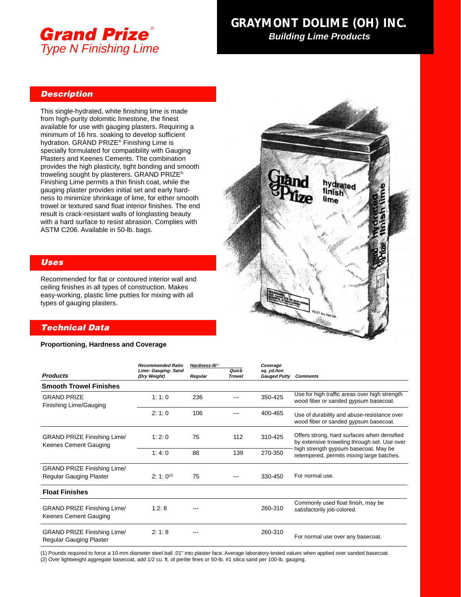

## **GRAYMONT DOLIME (OH) INC. GRAYMONT DOLIME (OH) INC. Building Lime Products Building Lime Products**

#### **Description**

This single-hydrated, white finishing lime is made from high-purity dolomitic limestone, the finest available for use with gauging plasters. Requiring a minimum of 16 hrs. soaking to develop sufficient hydration. GRAND PRIZE® Finishing Lime is specially formulated for compatibility with Gauging Plasters and Keenes Cements. The combination provides the high plasticity, tight bonding and smooth troweling sought by plasterers. GRAND PRIZE® Finishing Lime permits a thin finish coat, while the gauging plaster provides initial set and early hardness to minimize shrinkage of lime, for either smooth trowel or textured sand float interior finishes. The end result is crack-resistant walls of longlasting beauty with a hard surface to resist abrasion. Complies with ASTM C206. Available in 50-lb. bags.

### **Uses**

Recommended for flat or contoured interior wall and ceiling finishes in all types of construction. Makes easy-working, plastic lime putties for mixing with all types of gauging plasters.

# hydrated finish lime

#### **Technical Data**

#### **Proportioning, Hardness and Coverage**

|                                                               | <b>Recommended Ratio</b><br>Lime: Gauging: Sand<br>(Dry Weight) | $Hardness-lb^{(1)}$ |                        | Coverage                           |                                                                                                                                                                                   |  |
|---------------------------------------------------------------|-----------------------------------------------------------------|---------------------|------------------------|------------------------------------|-----------------------------------------------------------------------------------------------------------------------------------------------------------------------------------|--|
| <b>Products</b>                                               |                                                                 | Regular             | Quick<br><b>Trowel</b> | sq. yd./ton<br><b>Gauged Putty</b> | <b>Comments</b>                                                                                                                                                                   |  |
| <b>Smooth Trowel Finishes</b>                                 |                                                                 |                     |                        |                                    |                                                                                                                                                                                   |  |
| <b>GRAND PRIZE</b><br>Finishing Lime/Gauging                  | 1:1:0                                                           | 236                 |                        | 350-425                            | Use for high traffic areas over high strength<br>wood fiber or sanded gypsum basecoat.                                                                                            |  |
|                                                               | 2:1:0                                                           | 106                 |                        | 400-465                            | Use of durability and abuse-resistance over<br>wood fiber or sanded gypsum basecoat.                                                                                              |  |
| <b>GRAND PRIZE Finishing Lime/</b><br>Keenes Cement Gauging   | 1:2:0                                                           | 75                  | 112                    | 310-425                            | Offers strong, hard surfaces when densified<br>by extensive troweling through set. Use over<br>high strength gypsum basecoat. May be<br>retempered, permits mixing large batches. |  |
|                                                               | 1:4:0                                                           | 88                  | 139                    | 270-350                            |                                                                                                                                                                                   |  |
| <b>GRAND PRIZE Finishing Lime/</b>                            |                                                                 |                     |                        |                                    |                                                                                                                                                                                   |  |
| Regular Gauging Plaster                                       | $2:1:0^{(2)}$                                                   | 75                  |                        | 330-450                            | For normal use.                                                                                                                                                                   |  |
| <b>Float Finishes</b>                                         |                                                                 |                     |                        |                                    |                                                                                                                                                                                   |  |
| <b>GRAND PRIZE Finishing Lime/</b><br>Keenes Cement Gauging   | 1:2:8                                                           |                     |                        | 260-310                            | Commonly used float finish, may be<br>satisfactorily job-colored.                                                                                                                 |  |
| <b>GRAND PRIZE Finishing Lime/</b><br>Regular Gauging Plaster | 2:1:8                                                           |                     |                        | 260-310                            | For normal use over any basecoat.                                                                                                                                                 |  |

(1) Pounds required to force a 10-mm diameter steel ball .01" into plaster face. Average laboratory-tested values when applied over sanded basecoat.

(2) Over lightweight aggregate basecoat, add 1/2 cu. ft. of perlite fines or 50-lb. #1 silica sand per 100-lb. gauging.